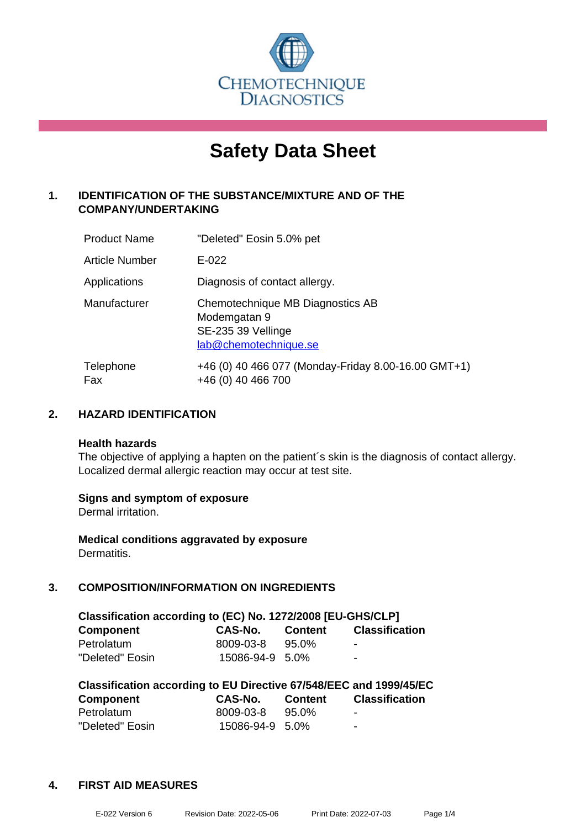

# **Safety Data Sheet**

# **1. IDENTIFICATION OF THE SUBSTANCE/MIXTURE AND OF THE COMPANY/UNDERTAKING**

| <b>Product Name</b>   | "Deleted" Eosin 5.0% pet                                                                        |
|-----------------------|-------------------------------------------------------------------------------------------------|
| <b>Article Number</b> | $E - 022$                                                                                       |
| Applications          | Diagnosis of contact allergy.                                                                   |
| Manufacturer          | Chemotechnique MB Diagnostics AB<br>Modemgatan 9<br>SE-235 39 Vellinge<br>lab@chemotechnique.se |
| Telephone<br>Fax      | +46 (0) 40 466 077 (Monday-Friday 8.00-16.00 GMT+1)<br>+46 (0) 40 466 700                       |

#### **2. HAZARD IDENTIFICATION**

#### **Health hazards**

The objective of applying a hapten on the patient's skin is the diagnosis of contact allergy. Localized dermal allergic reaction may occur at test site.

#### **Signs and symptom of exposure**

Dermal irritation.

**Medical conditions aggravated by exposure** Dermatitis.

# **3. COMPOSITION/INFORMATION ON INGREDIENTS**

| Classification according to (EC) No. 1272/2008 [EU-GHS/CLP] |                 |                |                       |  |
|-------------------------------------------------------------|-----------------|----------------|-----------------------|--|
| <b>Component</b>                                            | <b>CAS-No.</b>  | <b>Content</b> | <b>Classification</b> |  |
| Petrolatum                                                  | 8009-03-8       | 95.0%          | $\blacksquare$        |  |
| "Deleted" Eosin                                             | 15086-94-9 5.0% |                | $\blacksquare$        |  |

| Classification according to EU Directive 67/548/EEC and 1999/45/EC |                 |                |                       |  |  |
|--------------------------------------------------------------------|-----------------|----------------|-----------------------|--|--|
| Component                                                          | CAS-No.         | <b>Content</b> | <b>Classification</b> |  |  |
| Petrolatum                                                         | 8009-03-8       | 95.0%          | $\blacksquare$        |  |  |
| "Deleted" Eosin                                                    | 15086-94-9 5.0% |                | -                     |  |  |

#### **4. FIRST AID MEASURES**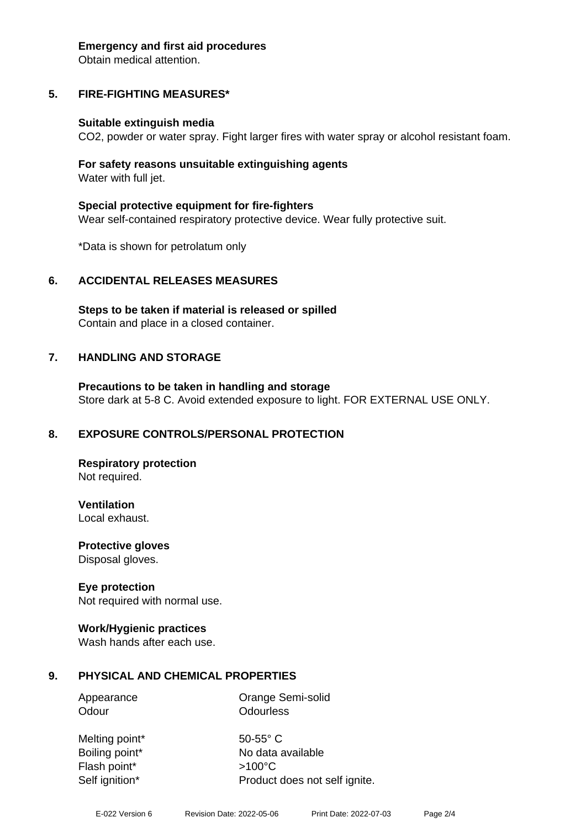#### **Emergency and first aid procedures**

Obtain medical attention.

# **5. FIRE-FIGHTING MEASURES\***

#### **Suitable extinguish media**

CO2, powder or water spray. Fight larger fires with water spray or alcohol resistant foam.

#### **For safety reasons unsuitable extinguishing agents** Water with full jet.

**Special protective equipment for fire-fighters** Wear self-contained respiratory protective device. Wear fully protective suit.

\*Data is shown for petrolatum only

#### **6. ACCIDENTAL RELEASES MEASURES**

**Steps to be taken if material is released or spilled** Contain and place in a closed container.

#### **7. HANDLING AND STORAGE**

**Precautions to be taken in handling and storage** Store dark at 5-8 C. Avoid extended exposure to light. FOR EXTERNAL USE ONLY.

#### **8. EXPOSURE CONTROLS/PERSONAL PROTECTION**

**Respiratory protection** Not required.

**Ventilation**

Local exhaust.

**Protective gloves** Disposal gloves.

#### **Eye protection**

Not required with normal use.

#### **Work/Hygienic practices**

Wash hands after each use.

#### **9. PHYSICAL AND CHEMICAL PROPERTIES**

Appearance Orange Semi-solid Odour **Odourless** 

Melting point\* 50-55° C Flash point\* >100°C

Boiling point\* No data available Self ignition\* Product does not self ignite.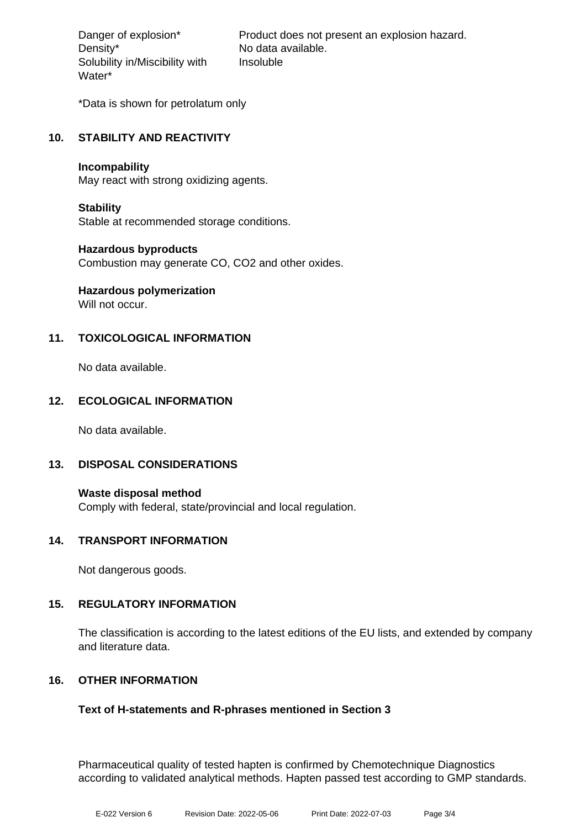Density\* No data available. Solubility in/Miscibility with Water\*

Danger of explosion\* Product does not present an explosion hazard. Insoluble

\*Data is shown for petrolatum only

# **10. STABILITY AND REACTIVITY**

#### **Incompability**

May react with strong oxidizing agents.

#### **Stability**

Stable at recommended storage conditions.

#### **Hazardous byproducts**

Combustion may generate CO, CO2 and other oxides.

# **Hazardous polymerization**

Will not occur.

# **11. TOXICOLOGICAL INFORMATION**

No data available.

# **12. ECOLOGICAL INFORMATION**

No data available.

#### **13. DISPOSAL CONSIDERATIONS**

**Waste disposal method** Comply with federal, state/provincial and local regulation.

#### **14. TRANSPORT INFORMATION**

Not dangerous goods.

#### **15. REGULATORY INFORMATION**

The classification is according to the latest editions of the EU lists, and extended by company and literature data.

#### **16. OTHER INFORMATION**

#### **Text of H-statements and R-phrases mentioned in Section 3**

Pharmaceutical quality of tested hapten is confirmed by Chemotechnique Diagnostics according to validated analytical methods. Hapten passed test according to GMP standards.